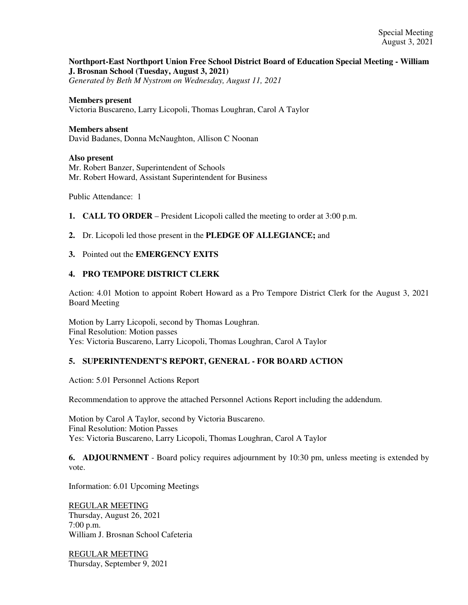# **Northport-East Northport Union Free School District Board of Education Special Meeting - William J. Brosnan School (Tuesday, August 3, 2021)**

*Generated by Beth M Nystrom on Wednesday, August 11, 2021*

### **Members present**

Victoria Buscareno, Larry Licopoli, Thomas Loughran, Carol A Taylor

#### **Members absent**

David Badanes, Donna McNaughton, Allison C Noonan

#### **Also present**

Mr. Robert Banzer, Superintendent of Schools Mr. Robert Howard, Assistant Superintendent for Business

Public Attendance: 1

- **1. CALL TO ORDER** President Licopoli called the meeting to order at 3:00 p.m.
- **2.** Dr. Licopoli led those present in the **PLEDGE OF ALLEGIANCE;** and

## **3.** Pointed out the **EMERGENCY EXITS**

## **4. PRO TEMPORE DISTRICT CLERK**

Action: 4.01 Motion to appoint Robert Howard as a Pro Tempore District Clerk for the August 3, 2021 Board Meeting

Motion by Larry Licopoli, second by Thomas Loughran. Final Resolution: Motion passes Yes: Victoria Buscareno, Larry Licopoli, Thomas Loughran, Carol A Taylor

## **5. SUPERINTENDENT'S REPORT, GENERAL - FOR BOARD ACTION**

Action: 5.01 Personnel Actions Report

Recommendation to approve the attached Personnel Actions Report including the addendum.

Motion by Carol A Taylor, second by Victoria Buscareno. Final Resolution: Motion Passes Yes: Victoria Buscareno, Larry Licopoli, Thomas Loughran, Carol A Taylor

**6. ADJOURNMENT** - Board policy requires adjournment by 10:30 pm, unless meeting is extended by vote.

Information: 6.01 Upcoming Meetings

REGULAR MEETING Thursday, August 26, 2021 7:00 p.m. William J. Brosnan School Cafeteria

REGULAR MEETING Thursday, September 9, 2021